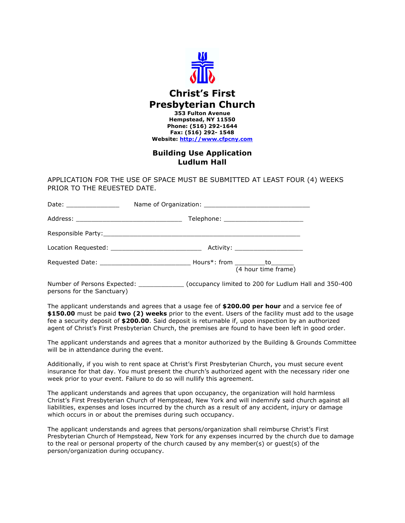

# **Christ's First Presbyterian Church 353 Fulton Avenue Hempstead, NY 11550 Phone: (516) 292-1644 Fax: (516) 292- 1548 Website: http://www.cfpcny.com**

# **Building Use Application Ludlum Hall**

APPLICATION FOR THE USE OF SPACE MUST BE SUBMITTED AT LEAST FOUR (4) WEEKS PRIOR TO THE REUESTED DATE.

| Date: _______________ |                                   |
|-----------------------|-----------------------------------|
|                       |                                   |
|                       |                                   |
|                       | Activity: _______________________ |
|                       | (4 hour time frame)               |

Number of Persons Expected: \_\_\_\_\_\_\_\_\_\_\_\_ (occupancy limited to 200 for Ludlum Hall and 350-400 persons for the Sanctuary)

The applicant understands and agrees that a usage fee of **\$200.00 per hour** and a service fee of **\$150.00** must be paid **two (2) weeks** prior to the event. Users of the facility must add to the usage fee a security deposit of **\$200.00**. Said deposit is returnable if, upon inspection by an authorized agent of Christ's First Presbyterian Church, the premises are found to have been left in good order.

The applicant understands and agrees that a monitor authorized by the Building & Grounds Committee will be in attendance during the event.

Additionally, if you wish to rent space at Christ's First Presbyterian Church, you must secure event insurance for that day. You must present the church's authorized agent with the necessary rider one week prior to your event. Failure to do so will nullify this agreement.

The applicant understands and agrees that upon occupancy, the organization will hold harmless Christ's First Presbyterian Church of Hempstead, New York and will indemnify said church against all liabilities, expenses and loses incurred by the church as a result of any accident, injury or damage which occurs in or about the premises during such occupancy.

The applicant understands and agrees that persons/organization shall reimburse Christ's First Presbyterian Church of Hempstead, New York for any expenses incurred by the church due to damage to the real or personal property of the church caused by any member(s) or guest(s) of the person/organization during occupancy.